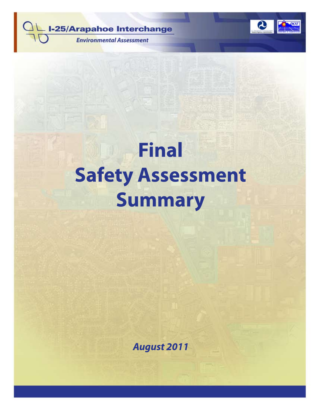

**Environmental Assessment** 

**I-25/Arapahoe Interchange** 

# **Final Safety Assessment Summary**

**August 2011**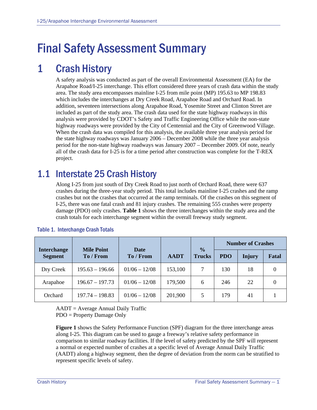## Final Safety Assessment Summary

### 1 Crash History

A safety analysis was conducted as part of the overall Environmental Assessment (EA) for the Arapahoe Road/I-25 interchange. This effort considered three years of crash data within the study area. The study area encompasses mainline I-25 from mile point (MP) 195.63 to MP 198.83 which includes the interchanges at Dry Creek Road, Arapahoe Road and Orchard Road. In addition, seventeen intersections along Arapahoe Road, Yosemite Street and Clinton Street are included as part of the study area. The crash data used for the state highway roadways in this analysis were provided by CDOT's Safety and Traffic Engineering Office while the non-state highway roadways were provided by the City of Centennial and the City of Greenwood Village. When the crash data was compiled for this analysis, the available three year analysis period for the state highway roadways was January 2006 – December 2008 while the three year analysis period for the non-state highway roadways was January 2007 – December 2009. Of note, nearly all of the crash data for I-25 is for a time period after construction was complete for the T-REX project.

### 1.1 Interstate 25 Crash History

Along I-25 from just south of Dry Creek Road to just north of Orchard Road, there were 637 crashes during the three-year study period. This total includes mainline I-25 crashes and the ramp crashes but not the crashes that occurred at the ramp terminals. Of the crashes on this segment of I-25, there was one fatal crash and 81 injury crashes. The remaining 555 crashes were property damage (PDO) only crashes. **Table 1** shows the three interchanges within the study area and the crash totals for each interchange segment within the overall freeway study segment.

|                                      |                                | <b>Date</b>     |             | $\frac{0}{0}$ | <b>Number of Crashes</b> |               |       |  |
|--------------------------------------|--------------------------------|-----------------|-------------|---------------|--------------------------|---------------|-------|--|
| <b>Interchange</b><br><b>Segment</b> | <b>Mile Point</b><br>To / From | To / From       | <b>AADT</b> | <b>Trucks</b> | <b>PDO</b>               | <b>Injury</b> | Fatal |  |
| Dry Creek                            | $195.63 - 196.66$              | $01/06 - 12/08$ | 153,100     | $\tau$        | 130                      | 18            |       |  |
| Arapahoe                             | $196.67 - 197.73$              | $01/06 - 12/08$ | 179,500     | 6             | 246                      | 22            |       |  |
| Orchard                              | $197.74 - 198.83$              | $01/06 - 12/08$ | 201,900     | 5             | 179                      | 41            |       |  |

#### Table 1. Interchange Crash Totals

AADT = Average Annual Daily Traffic PDO = Property Damage Only

**Figure 1** shows the Safety Performance Function (SPF) diagram for the three interchange areas along I-25. This diagram can be used to gauge a freeway's relative safety performance in comparison to similar roadway facilities. If the level of safety predicted by the SPF will represent a normal or expected number of crashes at a specific level of Average Annual Daily Traffic (AADT) along a highway segment, then the degree of deviation from the norm can be stratified to represent specific levels of safety.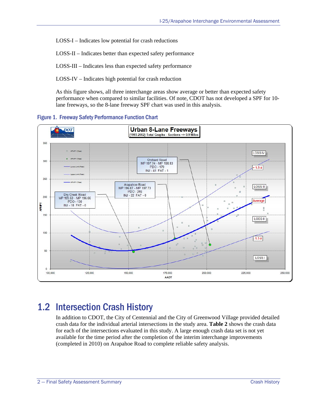LOSS-I – Indicates low potential for crash reductions

LOSS-II – Indicates better than expected safety performance

LOSS-III – Indicates less than expected safety performance

LOSS-IV – Indicates high potential for crash reduction

As this figure shows, all three interchange areas show average or better than expected safety performance when compared to similar facilities. Of note, CDOT has not developed a SPF for 10 lane freeways, so the 8-lane freeway SPF chart was used in this analysis.





### 1.2 Intersection Crash History

In addition to CDOT, the City of Centennial and the City of Greenwood Village provided detailed crash data for the individual arterial intersections in the study area. **Table 2** shows the crash data for each of the intersections evaluated in this study. A large enough crash data set is not yet available for the time period after the completion of the interim interchange improvements (completed in 2010) on Arapahoe Road to complete reliable safety analysis.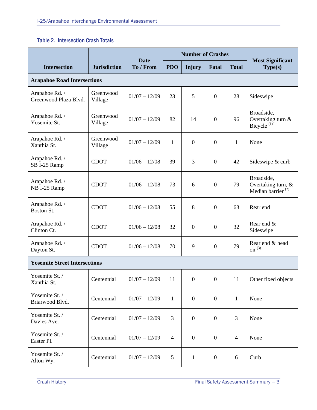#### Table 2. Intersection Crash Totals

|                                         |                      |                          | <b>Number of Crashes</b> |                  |                  |                |                                                             |  |
|-----------------------------------------|----------------------|--------------------------|--------------------------|------------------|------------------|----------------|-------------------------------------------------------------|--|
| <b>Intersection</b>                     | <b>Jurisdiction</b>  | <b>Date</b><br>To / From | <b>PDO</b>               | Injury           | Fatal            | <b>Total</b>   | <b>Most Significant</b><br>Type(s)                          |  |
| <b>Arapahoe Road Intersections</b>      |                      |                          |                          |                  |                  |                |                                                             |  |
| Arapahoe Rd. /<br>Greenwood Plaza Blvd. | Greenwood<br>Village | $01/07 - 12/09$          | 23                       | 5                | $\boldsymbol{0}$ | 28             | Sideswipe                                                   |  |
| Arapahoe Rd. /<br>Yosemite St.          | Greenwood<br>Village | $01/07 - 12/09$          | 82                       | 14               | $\boldsymbol{0}$ | 96             | Broadside,<br>Overtaking turn &<br>Bicycle <sup>(1)</sup>   |  |
| Arapahoe Rd. /<br>Xanthia St.           | Greenwood<br>Village | $01/07 - 12/09$          | $\mathbf{1}$             | $\mathbf{0}$     | $\boldsymbol{0}$ | $\mathbf{1}$   | None                                                        |  |
| Arapahoe Rd. /<br>SB I-25 Ramp          | <b>CDOT</b>          | $01/06 - 12/08$          | 39                       | 3                | $\boldsymbol{0}$ | 42             | Sideswipe & curb                                            |  |
| Arapahoe Rd. /<br>NB I-25 Ramp          | <b>CDOT</b>          | $01/06 - 12/08$          | 73                       | 6                | $\boldsymbol{0}$ | 79             | Broadside,<br>Overtaking turn, &<br>Median barrier $^{(2)}$ |  |
| Arapahoe Rd. /<br>Boston St.            | <b>CDOT</b>          | $01/06 - 12/08$          | 55                       | 8                | $\boldsymbol{0}$ | 63             | Rear end                                                    |  |
| Arapahoe Rd. /<br>Clinton Ct.           | <b>CDOT</b>          | $01/06 - 12/08$          | 32                       | $\boldsymbol{0}$ | $\boldsymbol{0}$ | 32             | Rear end &<br>Sideswipe                                     |  |
| Arapahoe Rd. /<br>Dayton St.            | <b>CDOT</b>          | $01/06 - 12/08$          | 70                       | 9                | $\mathbf{0}$     | 79             | Rear end & head<br>on $(3)$                                 |  |
| <b>Yosemite Street Intersections</b>    |                      |                          |                          |                  |                  |                |                                                             |  |
| Yosemite St. /<br>Xanthia St.           | Centennial           | $01/07 - 12/09$          | 11                       | $\overline{0}$   | $\overline{0}$   | 11             | Other fixed objects                                         |  |
| Yosemite St. /<br>Briarwood Blvd.       | Centennial           | $01/07 - 12/09$          | $\mathbf{1}$             | $\boldsymbol{0}$ | $\boldsymbol{0}$ | $\mathbf{1}$   | None                                                        |  |
| Yosemite St. /<br>Davies Ave.           | Centennial           | $01/07 - 12/09$          | $\mathfrak{Z}$           | $\mathbf{0}$     | $\mathbf{0}$     | $\overline{3}$ | None                                                        |  |
| Yosemite St. /<br>Easter Pl.            | Centennial           | $01/07 - 12/09$          | $\overline{4}$           | $\boldsymbol{0}$ | $\mathbf{0}$     | $\overline{4}$ | None                                                        |  |
| Yosemite St. /<br>Alton Wy.             | Centennial           | $01/07 - 12/09$          | 5                        | $\mathbf{1}$     | $\boldsymbol{0}$ | $6\,$          | Curb                                                        |  |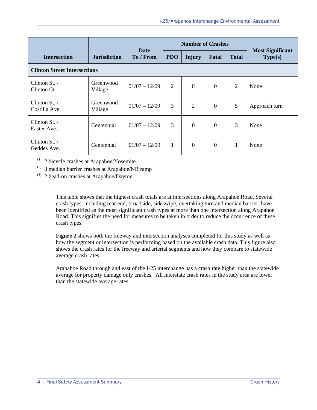|                                     |                      | <b>Date</b><br>To / From | <b>Number of Crashes</b> |                |              |              |                                    |  |
|-------------------------------------|----------------------|--------------------------|--------------------------|----------------|--------------|--------------|------------------------------------|--|
| <b>Intersection</b>                 | <b>Jurisdiction</b>  |                          | <b>PDO</b>               | <b>Injury</b>  | Fatal        | <b>Total</b> | <b>Most Significant</b><br>Type(s) |  |
| <b>Clinton Street Intersections</b> |                      |                          |                          |                |              |              |                                    |  |
| Clinton St. $\ell$<br>Clinton Ct.   | Greenwood<br>Village | $01/07 - 12/09$          | 2                        | $\overline{0}$ | $\theta$     | 2            | None                               |  |
| Clinton St. $\ell$<br>Costilla Ave. | Greenwood<br>Village | $01/07 - 12/09$          | 3                        | $\overline{2}$ | $\Omega$     | 5            | Approach turn                      |  |
| Clinton St. $/$<br>Easter Ave.      | Centennial           | $01/07 - 12/09$          | 3                        | $\overline{0}$ | $\theta$     | 3            | None                               |  |
| Clinton St. /<br>Geddes Ave.        | Centennial           | $01/07 - 12/09$          | 1                        | $\mathbf{0}$   | $\mathbf{0}$ | 1            | None                               |  |

 $(1)$  2 bicycle crashes at Arapahoe/Yosemite

(2) 3 median barrier crashes at Arapahoe/NB ramp

 $(3)$  2 head-on crashes at Arapahoe/Dayton

This table shows that the highest crash totals are at intersections along Arapahoe Road. Several crash types, including rear end, broadside, sideswipe, overtaking turn and median barrier, have been identified as the most significant crash types at more than one intersection along Arapahoe Road. This signifies the need for measures to be taken in order to reduce the occurrence of these crash types.

**Figure 2** shows both the freeway and intersection analyses completed for this study as well as how the segment or intersection is performing based on the available crash data. This figure also shows the crash rates for the freeway and arterial segments and how they compare to statewide average crash rates.

Arapahoe Road through and east of the I-25 interchange has a crash rate higher than the statewide average for property damage only crashes. All interstate crash rates in the study area are lower than the statewide average rates.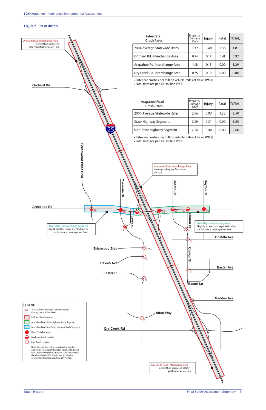#### Figure 2. Crash History



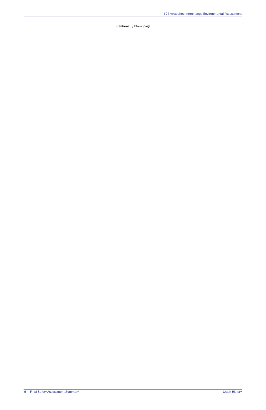Intentionally blank page.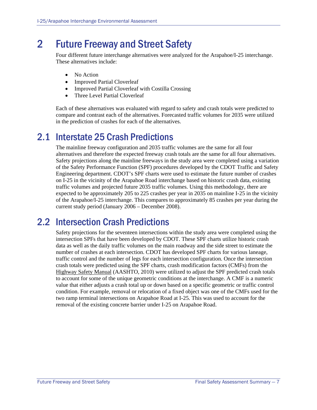### 2 Future Freeway and Street Safety

Four different future interchange alternatives were analyzed for the Arapahoe/I-25 interchange. These alternatives include:

- No Action
- Improved Partial Cloverleaf
- Improved Partial Cloverleaf with Costilla Crossing
- Three Level Partial Cloverleaf

Each of these alternatives was evaluated with regard to safety and crash totals were predicted to compare and contrast each of the alternatives. Forecasted traffic volumes for 2035 were utilized in the prediction of crashes for each of the alternatives.

### 2.1 Interstate 25 Crash Predictions

The mainline freeway configuration and 2035 traffic volumes are the same for all four alternatives and therefore the expected freeway crash totals are the same for all four alternatives. Safety projections along the mainline freeways in the study area were completed using a variation of the Safety Performance Function (SPF) procedures developed by the CDOT Traffic and Safety Engineering department. CDOT's SPF charts were used to estimate the future number of crashes on I-25 in the vicinity of the Arapahoe Road interchange based on historic crash data, existing traffic volumes and projected future 2035 traffic volumes. Using this methodology, there are expected to be approximately 205 to 225 crashes per year in 2035 on mainline I-25 in the vicinity of the Arapahoe/I-25 interchange. This compares to approximately 85 crashes per year during the current study period (January 2006 – December 2008).

### 2.2 Intersection Crash Predictions

Safety projections for the seventeen intersections within the study area were completed using the intersection SPFs that have been developed by CDOT. These SPF charts utilize historic crash data as well as the daily traffic volumes on the main roadway and the side street to estimate the number of crashes at each intersection. CDOT has developed SPF charts for various laneage, traffic control and the number of legs for each intersection configuration. Once the intersection crash totals were predicted using the SPF charts, crash modification factors (CMFs) from the Highway Safety Manual (AASHTO, 2010) were utilized to adjust the SPF predicted crash totals to account for some of the unique geometric conditions at the interchange. A CMF is a numeric value that either adjusts a crash total up or down based on a specific geometric or traffic control condition. For example, removal or relocation of a fixed object was one of the CMFs used for the two ramp terminal intersections on Arapahoe Road at I-25. This was used to account for the removal of the existing concrete barrier under I-25 on Arapahoe Road.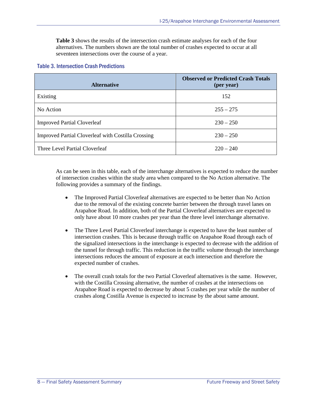**Table 3** shows the results of the intersection crash estimate analyses for each of the four alternatives. The numbers shown are the total number of crashes expected to occur at all seventeen intersections over the course of a year.

#### Table 3. Intersection Crash Predictions

| <b>Alternative</b>                                        | <b>Observed or Predicted Crash Totals</b><br>(per year) |
|-----------------------------------------------------------|---------------------------------------------------------|
| Existing                                                  | 152                                                     |
| No Action                                                 | $255 - 275$                                             |
| <b>Improved Partial Cloverleaf</b>                        | $230 - 250$                                             |
| <b>Improved Partial Cloverleaf with Costilla Crossing</b> | $230 - 250$                                             |
| Three Level Partial Cloverleaf                            | $220 - 240$                                             |

As can be seen in this table, each of the interchange alternatives is expected to reduce the number of intersection crashes within the study area when compared to the No Action alternative. The following provides a summary of the findings.

- The Improved Partial Cloverleaf alternatives are expected to be better than No Action due to the removal of the existing concrete barrier between the through travel lanes on Arapahoe Road. In addition, both of the Partial Cloverleaf alternatives are expected to only have about 10 more crashes per year than the three level interchange alternative.
- The Three Level Partial Cloverleaf interchange is expected to have the least number of intersection crashes. This is because through traffic on Arapahoe Road through each of the signalized intersections in the interchange is expected to decrease with the addition of the tunnel for through traffic. This reduction in the traffic volume through the interchange intersections reduces the amount of exposure at each intersection and therefore the expected number of crashes.
- The overall crash totals for the two Partial Cloverleaf alternatives is the same. However, with the Costilla Crossing alternative, the number of crashes at the intersections on Arapahoe Road is expected to decrease by about 5 crashes per year while the number of crashes along Costilla Avenue is expected to increase by the about same amount.